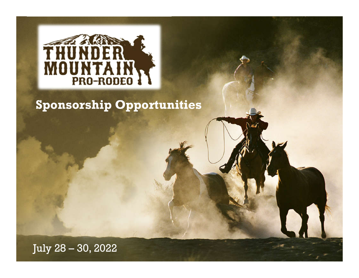

### **Sponsorship Opportunities**

July 28 – 30, 2022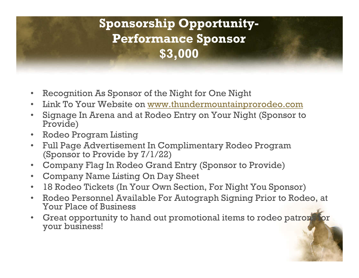### **Sponsorship Opportunity-Performance Sponsor \$3,000**

- Recognition As Sponsor of the Night for One Night
- Link To Your Website on www.thundermountainprorodeo.com
- Signage In Arena and at Rodeo Entry on Your Night (Sponsor to Provide)
- Rodeo Program Listing
- Full Page Advertisement In Complimentary Rodeo Program (Sponsor to Provide by 7/1/22)
- Company Flag In Rodeo Grand Entry (Sponsor to Provide)
- Company Name Listing On Day Sheet
- 18 Rodeo Tickets (In Your Own Section, For Night You Sponsor)
- Rodeo Personnel Available For Autograph Signing Prior to Rodeo, at Your Place of Business
- Great opportunity to hand out promotional items to rodeo patrons your business!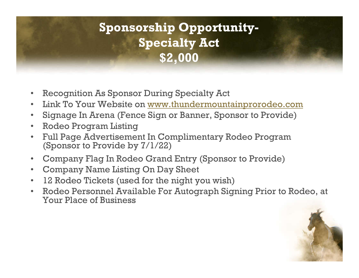### **Sponsorship Opportunity-Specialty Act \$2,000**

- Recognition As Sponsor During Specialty Act
- Link To Your Website on www.thundermountainprorodeo.com
- Signage In Arena (Fence Sign or Banner, Sponsor to Provide)
- Rodeo Program Listing
- Full Page Advertisement In Complimentary Rodeo Program (Sponsor to Provide by 7/1/22)
- Company Flag In Rodeo Grand Entry (Sponsor to Provide)
- Company Name Listing On Day Sheet
- 12 Rodeo Tickets (used for the night you wish)
- Rodeo Personnel Available For Autograph Signing Prior to Rodeo, at Your Place of Business

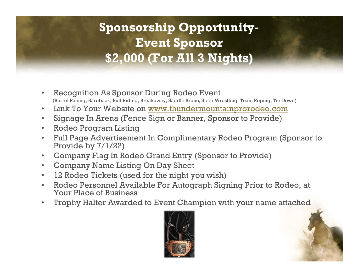### **Sponsorship Opportunity-Event Sponsor \$2,000 (For All 3 Nights)**

- Recognition As Sponsor During Rodeo Event (Barrel Racing, Bareback, Bull Riding, Breakaway, Saddle Bronc, Steer Wrestling, Team Roping, Tie Down)
- Link To Your Website on www.thundermountainprorodeo.com
- Signage In Arena (Fence Sign or Banner, Sponsor to Provide)
- Rodeo Program Listing
- Full Page Advertisement In Complimentary Rodeo Program (Sponsor to Provide by 7/1/22)
- Company Flag In Rodeo Grand Entry (Sponsor to Provide)
- Company Name Listing On Day Sheet
- 12 Rodeo Tickets (used for the night you wish)
- Rodeo Personnel Available For Autograph Signing Prior to Rodeo, at Your Place of Business
- Trophy Halter Awarded to Event Champion with your name attached

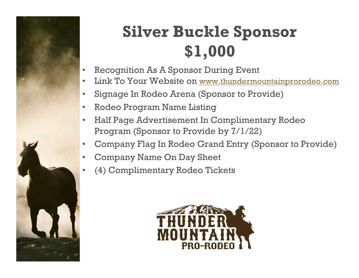

# **Silver Buckle Sponsor \$1,000**

- Recognition As A Sponsor During Event
- Link To Your Website on www.thundermountainprorodeo.com
- Signage In Rodeo Arena (Sponsor to Provide)
- Rodeo Program Name Listing
- Half Page Advertisement In Complimentary Rodeo Program (Sponsor to Provide by 7/1/22)
- Company Flag In Rodeo Grand Entry (Sponsor to Provide)
- Company Name On Day Sheet
	- (4) Complimentary Rodeo Tickets

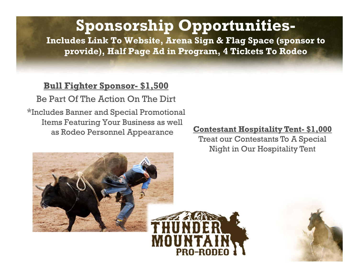## **Sponsorship Opportunities-**

**Includes Link To Website, Arena Sign & Flag Space (sponsor to provide), Half Page Ad in Program, 4 Tickets To Rodeo**

PRA-RAI

#### **Bull Fighter Sponsor- \$1,500**

Be Part Of The Action On The Dirt

\*Includes Banner and Special Promotional Items Featuring Your Business as well as Rodeo Personnel Appearance **Contestant Hospitality Tent- \$1,000**

Treat our Contestants To A Special Night in Our Hospitality Tent



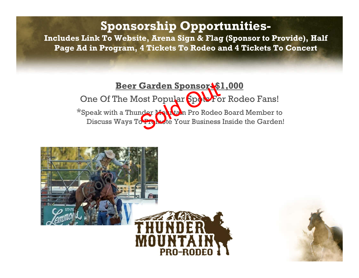### **Sponsorship Opportunities-**

**Includes Link To Website, Arena Sign & Flag (Sponsor to Provide), Half Page Ad in Program, 4 Tickets To Rodeo and 4 Tickets To Concert**

### **Beer Garden Sponsor- \$1,000**

One Of The Most Popular Spots For Rodeo Fans! \*Speak with a Thunder Mountain Pro Rodeo Board Member to Discuss Ways To Promote Your Business Inside the Garden!



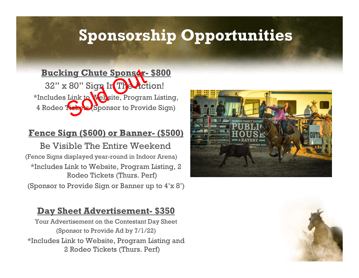# **Sponsorship Opportunities**

**Bucking Chute Sponsor- \$800** 32" x 80" Sign In The Action! \*Includes Link to Website, Program Listing, 4 Rodeo Ticky Sponsor to Provide Sign)

#### **Fence Sign (\$600) or Banner- (\$500)**

Be Visible The Entire Weekend (Fence Signs displayed year-round in Indoor Arena) \*Includes Link to Website, Program Listing, 2 Rodeo Tickets (Thurs. Perf)

(Sponsor to Provide Sign or Banner up to 4'x 8')

#### **Day Sheet Advertisement- \$350**

Your Advertisement on the Contestant Day Sheet (Sponsor to Provide Ad by 7/1/22) \*Includes Link to Website, Program Listing and 2 Rodeo Tickets (Thurs. Perf)



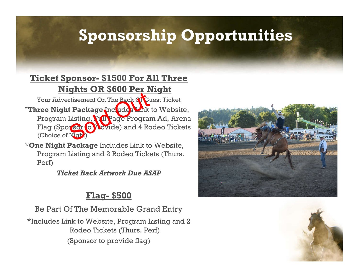# **Sponsorship Opportunities**

#### **Ticket Sponsor- \$1500 For All Three Nights OR \$600 Per Night**

Your Advertisement On The Back Of Guest Ticket \***Three Night Package** Includes Link to Website, Program Listing, Full Page Program Ad, Arena Flag (Sponsor to Plovide) and 4 Rodeo Tickets (Choice of Night)

\***One Night Package** Includes Link to Website, Program Listing and 2 Rodeo Tickets (Thurs. Perf)

*Ticket Back Artwork Due ASAP*

### **Flag- \$500**

Be Part Of The Memorable Grand Entry \*Includes Link to Website, Program Listing and 2 Rodeo Tickets (Thurs. Perf) (Sponsor to provide flag)



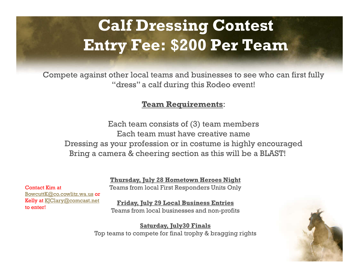# **Calf Dressing Contest Entry Fee: \$200 Per Team**

Compete against other local teams and businesses to see who can first fully "dress" a calf during this Rodeo event!

#### **Team Requirements**:

Each team consists of (3) team members Each team must have creative name Dressing as your profession or in costume is highly encouraged Bring a camera & cheering section as this will be a BLAST!

> **Thursday, July 28 Hometown Heroes Night** Teams from local First Responders Units Only

Contact Kim at BowcuttK@co.cowlitz.wa.us or Kelly at KJClary@comcast.net to enter!

**Friday, July 29 Local Business Entries** Teams from local businesses and non-profits

**Saturday, July30 Finals** Top teams to compete for final trophy & bragging rights